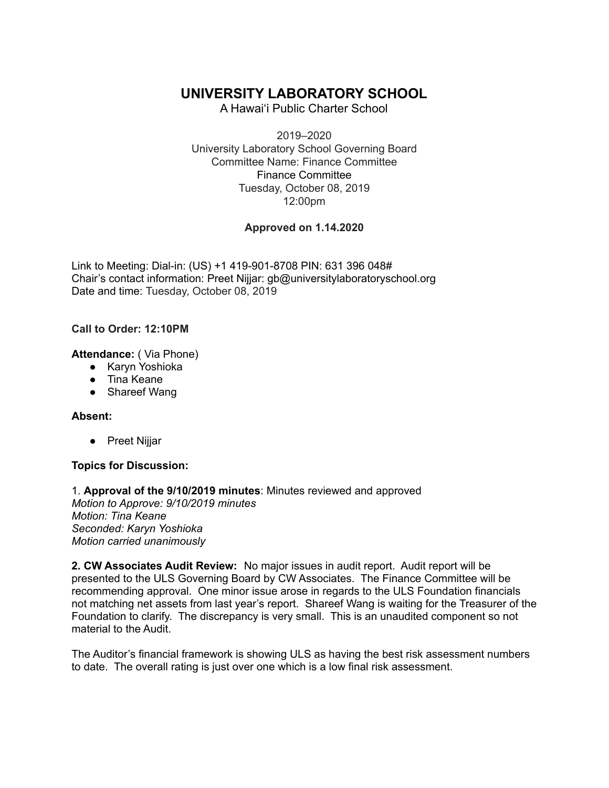# **UNIVERSITY LABORATORY SCHOOL**

A Hawai'i Public Charter School

2019–2020 University Laboratory School Governing Board Committee Name: Finance Committee Finance Committee Tuesday, October 08, 2019 12:00pm

## **Approved on 1.14.2020**

Link to Meeting: Dial-in: (US) +1 419-901-8708 PIN: 631 396 048# Chair's contact information: Preet Nijjar: gb@universitylaboratoryschool.org Date and time: Tuesday, October 08, 2019

### **Call to Order: 12:10PM**

**Attendance:** ( Via Phone)

- Karyn Yoshioka
- Tina Keane
- Shareef Wang

### **Absent:**

● Preet Nijjar

### **Topics for Discussion:**

1. **Approval of the 9/10/2019 minutes**: Minutes reviewed and approved *Motion to Approve: 9/10/2019 minutes Motion: Tina Keane Seconded: Karyn Yoshioka Motion carried unanimously*

**2. CW Associates Audit Review:** No major issues in audit report. Audit report will be presented to the ULS Governing Board by CW Associates. The Finance Committee will be recommending approval. One minor issue arose in regards to the ULS Foundation financials not matching net assets from last year's report. Shareef Wang is waiting for the Treasurer of the Foundation to clarify. The discrepancy is very small. This is an unaudited component so not material to the Audit.

The Auditor's financial framework is showing ULS as having the best risk assessment numbers to date. The overall rating is just over one which is a low final risk assessment.